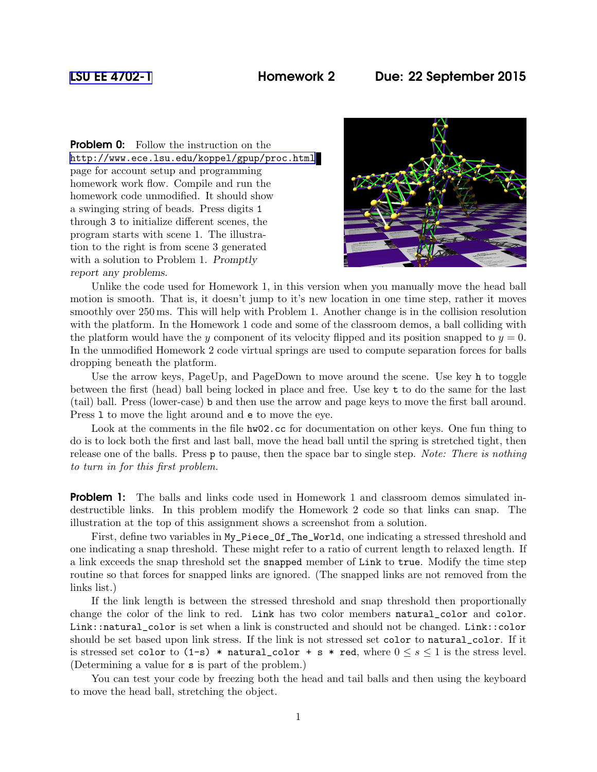## [LSU EE 4702-1](http://www.ece.lsu.edu/koppel/gpup/) Homework 2 Due: 22 September 2015

**Problem 0:** Follow the instruction on the <http://www.ece.lsu.edu/koppel/gpup/proc.html> page for account setup and programming homework work flow. Compile and run the homework code unmodified. It should show a swinging string of beads. Press digits 1 through 3 to initialize different scenes, the program starts with scene 1. The illustration to the right is from scene 3 generated with a solution to Problem 1. Promptly report any problems.



Unlike the code used for Homework 1, in this version when you manually move the head ball motion is smooth. That is, it doesn't jump to it's new location in one time step, rather it moves smoothly over 250 ms. This will help with Problem 1. Another change is in the collision resolution with the platform. In the Homework 1 code and some of the classroom demos, a ball colliding with the platform would have the y component of its velocity flipped and its position snapped to  $y = 0$ . In the unmodified Homework 2 code virtual springs are used to compute separation forces for balls dropping beneath the platform.

Use the arrow keys, PageUp, and PageDown to move around the scene. Use key h to toggle between the first (head) ball being locked in place and free. Use key t to do the same for the last (tail) ball. Press (lower-case) b and then use the arrow and page keys to move the first ball around. Press l to move the light around and e to move the eye.

Look at the comments in the file  $h\text{w02}.\text{cc}$  for documentation on other keys. One fun thing to do is to lock both the first and last ball, move the head ball until the spring is stretched tight, then release one of the balls. Press p to pause, then the space bar to single step. Note: There is nothing to turn in for this first problem.

**Problem 1:** The balls and links code used in Homework 1 and classroom demos simulated indestructible links. In this problem modify the Homework 2 code so that links can snap. The illustration at the top of this assignment shows a screenshot from a solution.

First, define two variables in  $My\_Piece\_Of\_The\_World$ , one indicating a stressed threshold and one indicating a snap threshold. These might refer to a ratio of current length to relaxed length. If a link exceeds the snap threshold set the snapped member of Link to true. Modify the time step routine so that forces for snapped links are ignored. (The snapped links are not removed from the links list.)

If the link length is between the stressed threshold and snap threshold then proportionally change the color of the link to red. Link has two color members natural\_color and color. Link::natural\_color is set when a link is constructed and should not be changed. Link::color should be set based upon link stress. If the link is not stressed set color to natural\_color. If it is stressed set color to  $(1-s)$  \* natural\_color + s \* red, where  $0 \leq s \leq 1$  is the stress level. (Determining a value for s is part of the problem.)

You can test your code by freezing both the head and tail balls and then using the keyboard to move the head ball, stretching the object.